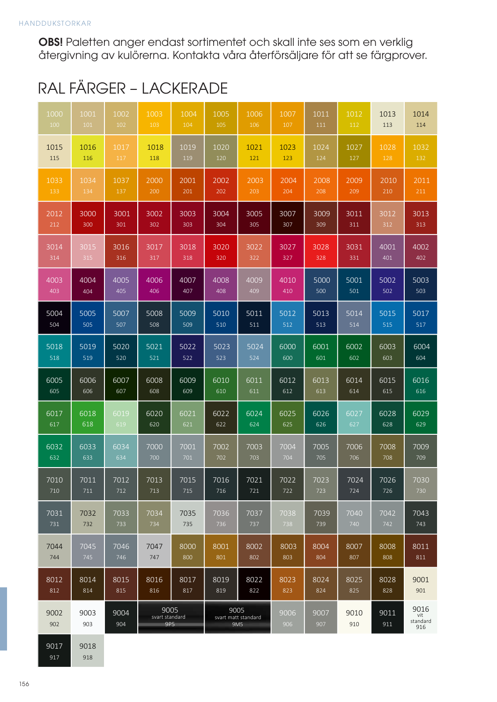OBS! Paletten anger endast sortimentet och skall inte ses som en verklig återgivning av kulörerna. Kontakta våra återförsäljare för att se färgprover.

## RAL FÄRGER — LACKERADE RAL FÄRGER – LACKERADE

| 1000        | 1001        | 1002        | 1003                          | 1004 | 1005                               | 1006 | 1007        | 1011        | 1012        | 1013        | 1014                           |
|-------------|-------------|-------------|-------------------------------|------|------------------------------------|------|-------------|-------------|-------------|-------------|--------------------------------|
| 100         | 101         | 102         | 103                           | 104  | 105                                | 106  | 107         | 111         | 112         | 113         | 114                            |
| 1015        | 1016        | 1017        | 1018                          | 1019 | 1020                               | 1021 | 1023        | 1024        | 1027        | 1028        | 1032                           |
| 115         | 116         | 117         | 118                           | 119  | 120                                | 121  | 123         | 124         | 127         | 128         | 132                            |
| 1033        | 1034        | 1037        | 2000                          | 2001 | 2002                               | 2003 | 2004        | 2008        | 2009        | 2010        | 2011                           |
| 133         | 134         | 137         | 200                           | 201  | 202                                | 203  | 204         | 208         | 209         | 210         | 211                            |
| 2012        | 3000        | 3001        | 3002                          | 3003 | 3004                               | 3005 | 3007        | 3009        | 3011        | 3012        | 3013                           |
| 212         | 300         | 301         | 302                           | 303  | 304                                | 305  | 307         | 309         | 311         | 312         | 313                            |
| 3014        | 3015        | 3016        | 3017                          | 3018 | 3020                               | 3022 | 3027        | 3028        | 3031        | 4001        | 4002                           |
| 314         | 315         | 316         | 317                           | 318  | 320                                | 322  | 327         | 328         | 331         | 401         | 402                            |
| 4003        | 4004        | 4005        | 4006                          | 4007 | 4008                               | 4009 | 4010        | 5000        | 5001        | 5002        | 5003                           |
| 403         | 404         | 405         | 406                           | 407  | 408                                | 409  | 410         | 500         | $501\,$     | 502         | 503                            |
| 5004        | 5005        | 5007        | 5008                          | 5009 | 5010                               | 5011 | 5012        | 5013        | 5014        | 5015        | 5017                           |
| 504         | 505         | 507         | 508                           | 509  | 510                                | 511  | 512         | 513         | 514         | 515         | $517\,$                        |
| 5018        | 5019        | 5020        | 5021                          | 5022 | 5023                               | 5024 | 6000        | 6001        | 6002        | 6003        | 6004                           |
| 518         | 519         | 520         | 521                           | 522  | 523                                | 524  | 600         | 601         | 602         | 603         | 604                            |
| 6005        | 6006        | 6007        | 6008                          | 6009 | 6010                               | 6011 | 6012        | 6013        | 6014        | 6015        | 6016                           |
| 605         | 606         | 607         | 608                           | 609  | 610                                | 611  | 612         | 613         | 614         | 615         | 616                            |
| 6017        | 6018        | 6019        | 6020                          | 6021 | 6022                               | 6024 | 6025        | 6026        | 6027        | 6028        | 6029                           |
| 617         | 618         | 619         | 620                           | 621  | 622                                | 624  | 625         | 626         | 627         | 628         | 629                            |
| 6032        | 6033        | 6034        | 7000                          | 7001 | 7002                               | 7003 | 7004        | 7005        | 7006        | 7008        | 7009                           |
| 632         | 633         | 634         | 700                           | 701  | 702                                | 703  | 704         | 705         | 706         | 708         | 709                            |
| 7010        | 7011        | 7012        | 7013                          | 7015 | 7016                               | 7021 | 7022        | 7023        | 7024        | 7026        | 7030                           |
| 710         | 711         | 712         | 713                           | 715  | 716                                | 721  | 722         | 723         | 724         | 726         | 730                            |
| 7031        | 7032        | 7033        | 7034                          | 7035 | 7036                               | 7037 | 7038        | 7039        | 7040        | 7042        | 7043                           |
| 731         | 732         | 733         | 734                           | 735  | 736                                | 737  | 738         | 739         | 740         | 742         | 743                            |
| 7044        | 7045        | 7046        | 7047                          | 8000 | 8001                               | 8002 | 8003        | 8004        | 8007        | 8008        | 8011                           |
| 744         | 745         | 746         | 747                           | 800  | 801                                | 802  | 803         | 804         | 807         | 808         | 811                            |
| 8012        | 8014        | 8015        | 8016                          | 8017 | 8019                               | 8022 | 8023        | 8024        | 8025        | 8028        | 9001                           |
| 812         | 814         | 815         | 816                           | 817  | 819                                | 822  | 823         | 824         | 825         | 828         | 901                            |
| 9002<br>902 | 9003<br>903 | 9004<br>904 | 9005<br>svart standard<br>9P5 |      | 9005<br>svart matt standard<br>9M5 |      | 9006<br>906 | 9007<br>907 | 9010<br>910 | 9011<br>911 | 9016<br>vit<br>standard<br>916 |
| 9017        | 9018        |             |                               |      |                                    |      |             |             |             |             |                                |